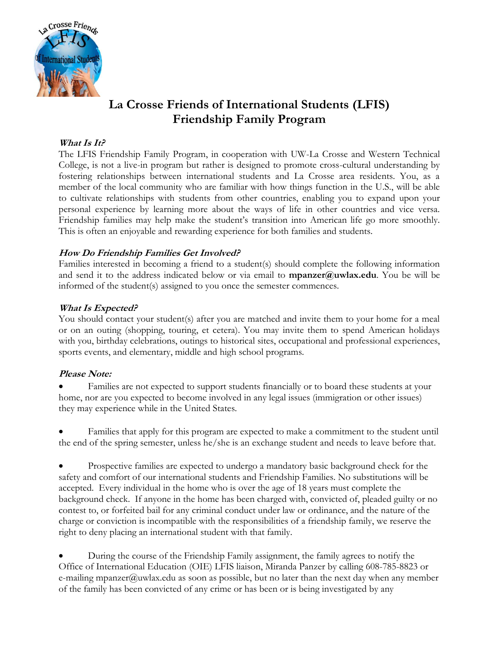

# **La Crosse Friends of International Students (LFIS) Friendship Family Program**

## **What Is It?**

The LFIS Friendship Family Program, in cooperation with UW-La Crosse and Western Technical College, is not a live-in program but rather is designed to promote cross-cultural understanding by fostering relationships between international students and La Crosse area residents. You, as a member of the local community who are familiar with how things function in the U.S., will be able to cultivate relationships with students from other countries, enabling you to expand upon your personal experience by learning more about the ways of life in other countries and vice versa. Friendship families may help make the student's transition into American life go more smoothly. This is often an enjoyable and rewarding experience for both families and students.

## **How Do Friendship Families Get Involved?**

Families interested in becoming a friend to a student(s) should complete the following information and send it to the address indicated below or via email to **mpanzer@uwlax.edu**. You be will be informed of the student(s) assigned to you once the semester commences.

### **What Is Expected?**

You should contact your student(s) after you are matched and invite them to your home for a meal or on an outing (shopping, touring, et cetera). You may invite them to spend American holidays with you, birthday celebrations, outings to historical sites, occupational and professional experiences, sports events, and elementary, middle and high school programs.

#### **Please Note:**

 Families are not expected to support students financially or to board these students at your home, nor are you expected to become involved in any legal issues (immigration or other issues) they may experience while in the United States.

 Families that apply for this program are expected to make a commitment to the student until the end of the spring semester, unless he/she is an exchange student and needs to leave before that.

 Prospective families are expected to undergo a mandatory basic background check for the safety and comfort of our international students and Friendship Families. No substitutions will be accepted. Every individual in the home who is over the age of 18 years must complete the background check. If anyone in the home has been charged with, convicted of, pleaded guilty or no contest to, or forfeited bail for any criminal conduct under law or ordinance, and the nature of the charge or conviction is incompatible with the responsibilities of a friendship family, we reserve the right to deny placing an international student with that family.

 During the course of the Friendship Family assignment, the family agrees to notify the Office of International Education (OIE) LFIS liaison, Miranda Panzer by calling 608-785-8823 or e-mailing mpanzer@uwlax.edu as soon as possible, but no later than the next day when any member of the family has been convicted of any crime or has been or is being investigated by any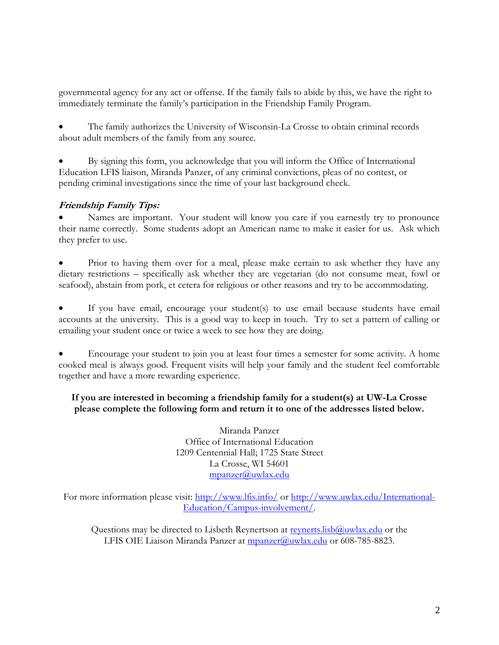governmental agency for any act or offense. If the family fails to abide by this, we have the right to immediately terminate the family's participation in the Friendship Family Program.

 The family authorizes the University of Wisconsin-La Crosse to obtain criminal records about adult members of the family from any source.

 By signing this form, you acknowledge that you will inform the Office of International Education LFIS liaison, Miranda Panzer, of any criminal convictions, pleas of no contest, or pending criminal investigations since the time of your last background check.

## **Friendship Family Tips:**

 Names are important. Your student will know you care if you earnestly try to pronounce their name correctly. Some students adopt an American name to make it easier for us. Ask which they prefer to use.

 Prior to having them over for a meal, please make certain to ask whether they have any dietary restrictions – specifically ask whether they are vegetarian (do not consume meat, fowl or seafood), abstain from pork, et cetera for religious or other reasons and try to be accommodating.

 If you have email, encourage your student(s) to use email because students have email accounts at the university. This is a good way to keep in touch. Try to set a pattern of calling or emailing your student once or twice a week to see how they are doing.

 Encourage your student to join you at least four times a semester for some activity. A home cooked meal is always good. Frequent visits will help your family and the student feel comfortable together and have a more rewarding experience.

## **If you are interested in becoming a friendship family for a student(s) at UW-La Crosse please complete the following form and return it to one of the addresses listed below.**

Miranda Panzer Office of International Education 1209 Centennial Hall; 1725 State Street La Crosse, WI 54601 [mpanzer@uwlax.edu](mailto:mpanzer@uwlax.edu)

For more information please visit:<http://www.lfis.info/> or [http://www.uwlax.edu/International-](http://www.uwlax.edu/International-Education/Campus-involvement/)[Education/Campus-involvement/.](http://www.uwlax.edu/International-Education/Campus-involvement/)

Questions may be directed to Lisbeth Reynertson at  $\frac{1}{2}$  revnerts.lisb $\omega$ uwlax.edu or the LFIS OIE Liaison Miranda Panzer at [mpanzer@uwlax.edu](mailto:mpanzer@uwlax.edu) or 608-785-8823.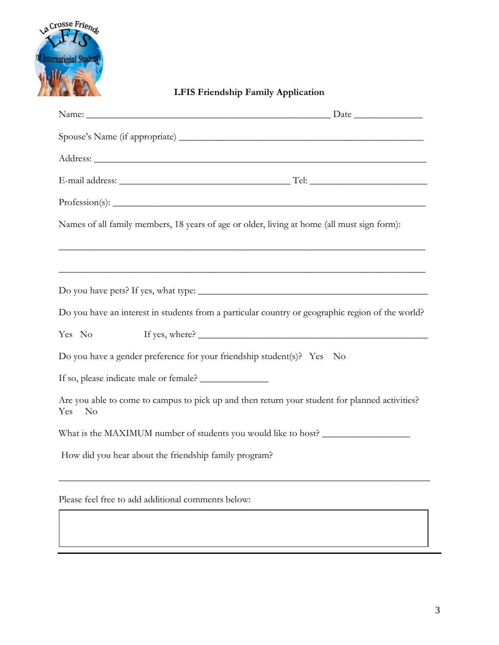

**LFIS Friendship Family Application**

| Names of all family members, 18 years of age or older, living at home (all must sign form):                             |                                                                                                                      |  |
|-------------------------------------------------------------------------------------------------------------------------|----------------------------------------------------------------------------------------------------------------------|--|
|                                                                                                                         |                                                                                                                      |  |
|                                                                                                                         | <u> 1999 - Jan James James James James James James James James James James James James James James James James J</u> |  |
|                                                                                                                         |                                                                                                                      |  |
| Do you have an interest in students from a particular country or geographic region of the world?                        |                                                                                                                      |  |
| Yes No                                                                                                                  |                                                                                                                      |  |
| Do you have a gender preference for your friendship student(s)? Yes No                                                  |                                                                                                                      |  |
|                                                                                                                         |                                                                                                                      |  |
| Are you able to come to campus to pick up and then return your student for planned activities?<br>Yes<br>N <sub>o</sub> |                                                                                                                      |  |
| What is the MAXIMUM number of students you would like to host? __________________                                       |                                                                                                                      |  |
| How did you hear about the friendship family program?                                                                   |                                                                                                                      |  |
|                                                                                                                         |                                                                                                                      |  |

Please feel free to add additional comments below: